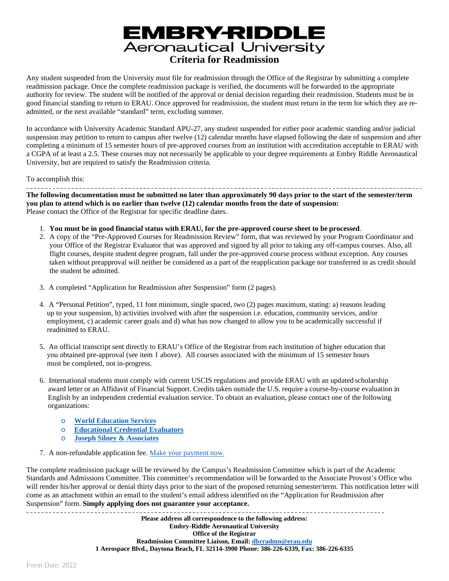# **EMBRY-RIDDLE**<br>Aeronautical University **Criteria for Readmission**

Any student suspended from the University must file for readmission through the Office of the Registrar by submitting a complete readmission package. Once the complete readmission package is verified, the documents will be forwarded to the appropriate authority for review. The student will be notified of the approval or denial decision regarding their readmission. Students must be in good financial standing to return to ERAU. Once approved for readmission, the student must return in the term for which they are readmitted, or the next available "standard" term, excluding summer.

In accordance with University Academic Standard APU-27, any student suspended for either poor academic standing and/or judicial suspension may petition to return to campus after twelve (12) calendar months have elapsed following the date of suspension and after completing a minimum of 15 semester hours of pre-approved courses from an institution with accreditation acceptable to ERAU with a CGPA of at least a 2.5. These courses may not necessarily be applicable to your degree requirements at Embry Riddle Aeronautical University, but are required to satisfy the Readmission criteria.

To accomplish this: **The following documentation must be submitted no later than approximately 90 days prior to the start of the semester/term you plan to attend which is no earlier than twelve (12) calendar months from the date of suspension:** Please contact the Office of the Registrar for specific deadline dates.

- 1. **You must be in good financial status with ERAU, for the pre-approved course sheet to be processed**.
- 2. A copy of the "Pre-Approved Courses for Readmission Review" form, that was reviewed by your Program Coordinator and your Office of the Registrar Evaluator that was approved and signed by all prior to taking any off-campus courses. Also, all flight courses, despite student degree program, fall under the pre-approved course process without exception. Any courses taken without preapproval will neither be considered as a part of the reapplication package nor transferred in as credit should the student be admitted.
- 3. A completed "Application for Readmission after Suspension" form (2 pages).
- 4. A "Personal Petition", typed, 11 font minimum, single spaced, two (2) pages maximum, stating: a) reasons leading up to your suspension, b) activities involved with after the suspension i.e. education, community services, and/or employment, c) academic career goals and d) what has now changed to allow you to be academically successful if readmitted to ERAU.
- 5. An official transcript sent directly to ERAU's Office of the Registrar from each institution of higher education that you obtained pre-approval (see item 1 above). All courses associated with the minimum of 15 semester hours must be completed, not in-progress.
- 6. International students must comply with current USCIS regulations and provide ERAU with an updated scholarship award letter or an Affidavit of Financial Support. Credits taken outside the U.S. require a course-by-course evaluation in English by an independent credential evaluation service. To obtain an evaluation, please contact one of the following organizations:
	- o **[World Education](https://www.wes.org/) Services**
	- o **[Educational Credential](https://www.ece.org/) Evaluators**
	- o **[Joseph Silney & Associates](https://www.jsilny.org/html/foreign.htm)**
- 7. A non-refundable application fee. [Make your payment](https://secure.touchnet.net/C20722_ustores/web/store_main.jsp?STOREID=124&SINGLESTORE=true) now.

The complete readmission package will be reviewed by the Campus's Readmission Committee which is part of the Academic Standards and Admissions Committee. This committee's recommendation will be forwarded to the Associate Provost's Office who will render his/her approval or denial thirty days prior to the start of the proposed returning semester/term. This notification letter will come as an attachment within an email to the student's email address identified on the "Application for Readmission after Suspension" form. **Simply applying does not guarantee your acceptance.**

----------------------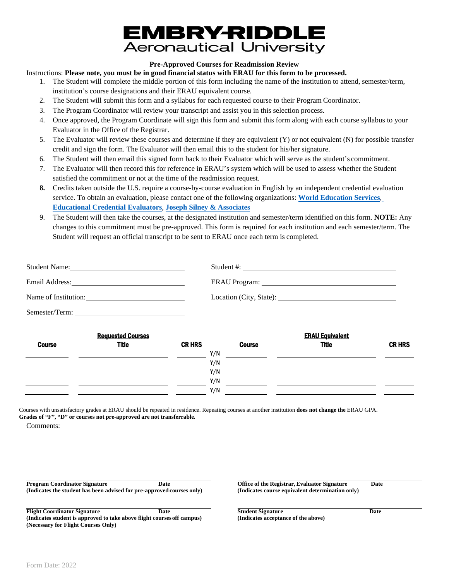## EMBRY-RIDDLE **Aeronautical University**

#### **Pre-Approved Courses for Readmission Review**

Instructions: **Please note, you must be in good financial status with ERAU for this form to be processed.**

- 1. The Student will complete the middle portion of this form including the name of the institution to attend, semester/term, institution's course designations and their ERAU equivalent course.
- 2. The Student will submit this form and a syllabus for each requested course to their Program Coordinator.
- 3. The Program Coordinator will review your transcript and assist you in this selection process.
- 4. Once approved, the Program Coordinate will sign this form and submit this form along with each course syllabus to your Evaluator in the Office of the Registrar.
- 5. The Evaluator will review these courses and determine if they are equivalent (Y) or not equivalent (N) for possible transfer credit and sign the form. The Evaluator will then email this to the student for his/her signature.
- 6. The Student will then email this signed form back to their Evaluator which will serve as the student's commitment.
- 7. The Evaluator will then record this for reference in ERAU's system which will be used to assess whether the Student satisfied the commitment or not at the time of the readmission request.
- **8.** Credits taken outside the U.S. require a course-by-course evaluation in English by an independent credential evaluation service. To obtain an evaluation, please contact one of the following organizations: **[World Education Services](https://www.wes.org/)**[,](https://www.ece.org/) **[Educational Credential Evaluators](https://www.ece.org/)**, **[Joseph Silney &](https://www.jsilny.org/html/foreign.htm) Associates**
- 9. The Student will then take the courses, at the designated institution and semester/term identified on this form. **NOTE:** Any changes to this commitment must be pre-approved. This form is required for each institution and each semester/term. The Student will request an official transcript to be sent to ERAU once each term is completed.

| Student Name:        |  |
|----------------------|--|
|                      |  |
| Name of Institution: |  |
|                      |  |

| <b>Requested Courses</b> |              |               |               | <b>ERAU Equivalent</b> |               |  |
|--------------------------|--------------|---------------|---------------|------------------------|---------------|--|
| <b>Course</b>            | <b>Title</b> | <b>CR HRS</b> | <b>Course</b> | <b>Title</b>           | <b>CR HRS</b> |  |
|                          |              | Y/N           |               |                        |               |  |
|                          |              | Y/N           |               |                        |               |  |
|                          |              | Y/N           |               |                        |               |  |
|                          |              | Y/N           |               |                        |               |  |
|                          |              | Y/N           |               |                        |               |  |
|                          |              |               |               |                        |               |  |

Courses with unsatisfactory grades at ERAU should be repeated in residence. Repeating courses at another institution **does not change the** ERAU GPA. **Grades of "F", "D" or courses not pre-approved are not transferrable.**

Comments:

**Program Coordinator Signature Date Office of the Registrar, Evaluator Signature Date (Indicates the student has been advised for pre-approved courses only) (Indicates course equivalent determination only)** 

**Flight Coordinator Signature Date Date Coordinator Signature Date Coordinator is approved to take above flight courses off campus) Coordination Coordinator Coordinate Coordinate Coordinate Coordinate (Indicates student is approved to take above flight coursesoff campus) (Indicates acceptance of the above) (Necessary for Flight Courses Only)**

L.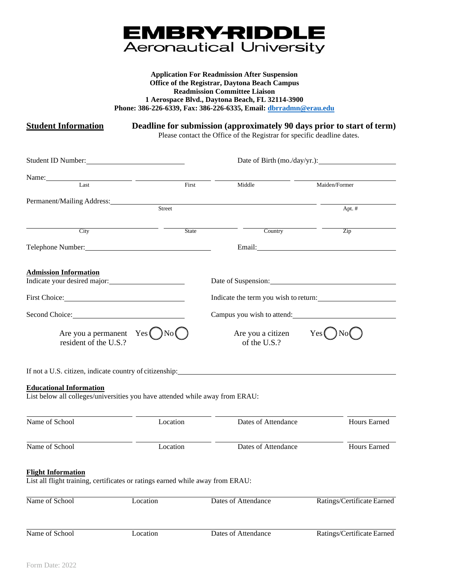

#### **Application For Readmission After Suspension Office of the Registrar, Daytona Beach Campus Readmission Committee Liaison 1 Aerospace Blvd., Daytona Beach, FL 32114-3900 Phone: 386-226-6339, Fax: 386-226-6335, Email: [dbrradmn@erau.edu](mailto:dbrradmn@erau.edu)**

**Student Information Deadline for submission (approximately 90 days prior to start of term)**

Please contact the Office of the Registrar for specific deadline dates.

| Student ID Number:             |                                                                                |                                                                                                                                                                                                                                | Date of Birth (mo./day/yr.):          |
|--------------------------------|--------------------------------------------------------------------------------|--------------------------------------------------------------------------------------------------------------------------------------------------------------------------------------------------------------------------------|---------------------------------------|
| Name: Last Last                |                                                                                |                                                                                                                                                                                                                                |                                       |
|                                | First                                                                          | Middle                                                                                                                                                                                                                         | Maiden/Former                         |
| Permanent/Mailing Address:     |                                                                                |                                                                                                                                                                                                                                |                                       |
|                                | Street                                                                         |                                                                                                                                                                                                                                | Apt. #                                |
| $\overline{\mathrm{City}}$     | State                                                                          | Country Country                                                                                                                                                                                                                | $\overline{Zip}$                      |
|                                |                                                                                |                                                                                                                                                                                                                                |                                       |
| <b>Admission Information</b>   |                                                                                |                                                                                                                                                                                                                                |                                       |
| Indicate your desired major:   |                                                                                | Date of Suspension: 2000 and 2000 and 2000 and 2000 and 2000 and 2000 and 2000 and 2000 and 2000 and 2000 and 2000 and 2000 and 2000 and 2000 and 2000 and 2000 and 2000 and 2000 and 2000 and 2000 and 2000 and 2000 and 2000 |                                       |
| First Choice:                  |                                                                                |                                                                                                                                                                                                                                | Indicate the term you wish to return: |
| Second Choice: New York 1988   |                                                                                | Campus you wish to attend:                                                                                                                                                                                                     |                                       |
| resident of the U.S.?          | Are you a permanent $Yes( )No( )$                                              | Are you a citizen<br>of the U.S.?                                                                                                                                                                                              | Yes(<br>)No(                          |
|                                |                                                                                | If not a U.S. citizen, indicate country of citizenship:                                                                                                                                                                        |                                       |
| <b>Educational Information</b> | List below all colleges/universities you have attended while away from ERAU:   |                                                                                                                                                                                                                                |                                       |
| Name of School                 | Location                                                                       | Dates of Attendance                                                                                                                                                                                                            | Hours Earned                          |
| Name of School                 | Location                                                                       | Dates of Attendance                                                                                                                                                                                                            | Hours Earned                          |
| <b>Flight Information</b>      | List all flight training, certificates or ratings earned while away from ERAU: |                                                                                                                                                                                                                                |                                       |
| Name of School                 | Location                                                                       | Dates of Attendance                                                                                                                                                                                                            | Ratings/Certificate Earned            |
| Name of School                 | Location                                                                       | Dates of Attendance                                                                                                                                                                                                            | Ratings/Certificate Earned            |